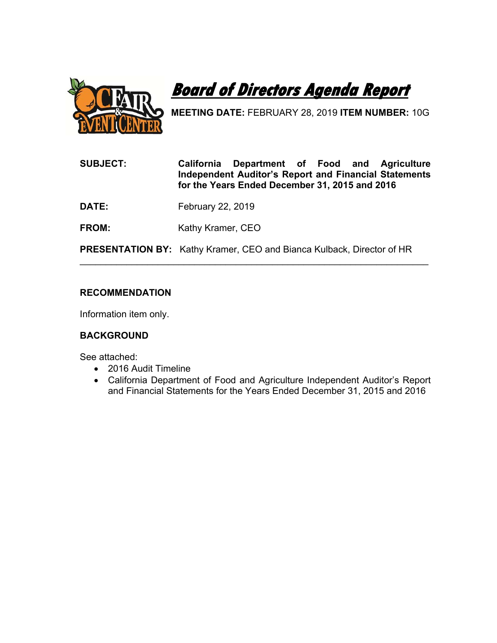



**MEETING DATE:** FEBRUARY 28, 2019 **ITEM NUMBER:** 10G

- **SUBJECT: California Department of Food and Agriculture Independent Auditor's Report and Financial Statements for the Years Ended December 31, 2015 and 2016**
- **DATE:** February 22, 2019
- **FROM: Kathy Kramer, CEO**

**PRESENTATION BY:** Kathy Kramer, CEO and Bianca Kulback, Director of HR

 $\overline{\phantom{a}}$  , and the contribution of the contribution of the contribution of the contribution of the contribution of the contribution of the contribution of the contribution of the contribution of the contribution of the

# **RECOMMENDATION**

Information item only.

# **BACKGROUND**

See attached:

- 2016 Audit Timeline
- California Department of Food and Agriculture Independent Auditor's Report and Financial Statements for the Years Ended December 31, 2015 and 2016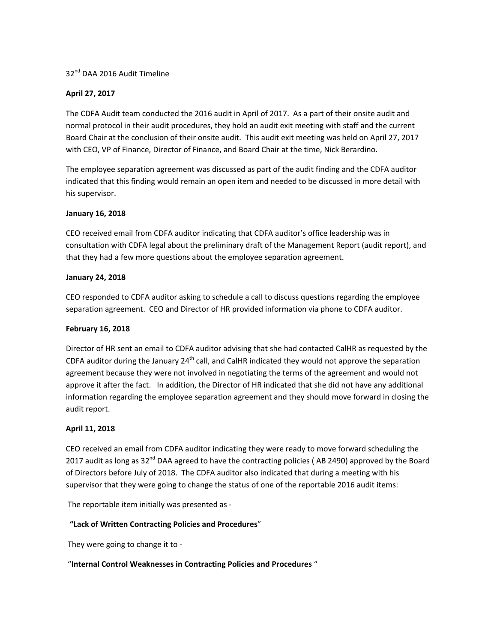# 32<sup>nd</sup> DAA 2016 Audit Timeline

# **April 27, 2017**

The CDFA Audit team conducted the 2016 audit in April of 2017. As a part of their onsite audit and normal protocol in their audit procedures, they hold an audit exit meeting with staff and the current Board Chair at the conclusion of their onsite audit. This audit exit meeting was held on April 27, 2017 with CEO, VP of Finance, Director of Finance, and Board Chair at the time, Nick Berardino.

The employee separation agreement was discussed as part of the audit finding and the CDFA auditor indicated that this finding would remain an open item and needed to be discussed in more detail with his supervisor.

## **January 16, 2018**

CEO received email from CDFA auditor indicating that CDFA auditor's office leadership was in consultation with CDFA legal about the preliminary draft of the Management Report (audit report), and that they had a few more questions about the employee separation agreement.

## **January 24, 2018**

CEO responded to CDFA auditor asking to schedule a call to discuss questions regarding the employee separation agreement. CEO and Director of HR provided information via phone to CDFA auditor.

## **February 16, 2018**

Director of HR sent an email to CDFA auditor advising that she had contacted CalHR as requested by the CDFA auditor during the January  $24<sup>th</sup>$  call, and CalHR indicated they would not approve the separation agreement because they were not involved in negotiating the terms of the agreement and would not approve it after the fact. In addition, the Director of HR indicated that she did not have any additional information regarding the employee separation agreement and they should move forward in closing the audit report.

# **April 11, 2018**

CEO received an email from CDFA auditor indicating they were ready to move forward scheduling the 2017 audit as long as 32<sup>nd</sup> DAA agreed to have the contracting policies (AB 2490) approved by the Board of Directors before July of 2018. The CDFA auditor also indicated that during a meeting with his supervisor that they were going to change the status of one of the reportable 2016 audit items:

The reportable item initially was presented as ‐

# **"Lack of Written Contracting Policies and Procedures**"

They were going to change it to ‐

# "**Internal Control Weaknesses in Contracting Policies and Procedures** "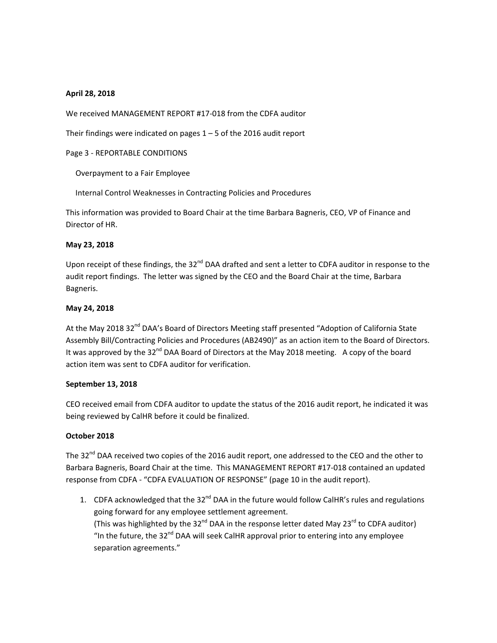## **April 28, 2018**

We received MANAGEMENT REPORT #17‐018 from the CDFA auditor

Their findings were indicated on pages  $1 - 5$  of the 2016 audit report

Page 3 ‐ REPORTABLE CONDITIONS

Overpayment to a Fair Employee

Internal Control Weaknesses in Contracting Policies and Procedures

This information was provided to Board Chair at the time Barbara Bagneris, CEO, VP of Finance and Director of HR.

# **May 23, 2018**

Upon receipt of these findings, the 32<sup>nd</sup> DAA drafted and sent a letter to CDFA auditor in response to the audit report findings. The letter was signed by the CEO and the Board Chair at the time, Barbara Bagneris.

# **May 24, 2018**

At the May 2018 32<sup>nd</sup> DAA's Board of Directors Meeting staff presented "Adoption of California State Assembly Bill/Contracting Policies and Procedures (AB2490)" as an action item to the Board of Directors. It was approved by the 32<sup>nd</sup> DAA Board of Directors at the May 2018 meeting. A copy of the board action item was sent to CDFA auditor for verification.

## **September 13, 2018**

CEO received email from CDFA auditor to update the status of the 2016 audit report, he indicated it was being reviewed by CalHR before it could be finalized.

# **October 2018**

The 32<sup>nd</sup> DAA received two copies of the 2016 audit report, one addressed to the CEO and the other to Barbara Bagneris, Board Chair at the time. This MANAGEMENT REPORT #17‐018 contained an updated response from CDFA ‐ "CDFA EVALUATION OF RESPONSE" (page 10 in the audit report).

1. CDFA acknowledged that the 32<sup>nd</sup> DAA in the future would follow CalHR's rules and regulations going forward for any employee settlement agreement. (This was highlighted by the 32 $^{nd}$  DAA in the response letter dated May 23 $^{rd}$  to CDFA auditor) "In the future, the  $32^{nd}$  DAA will seek CalHR approval prior to entering into any employee separation agreements."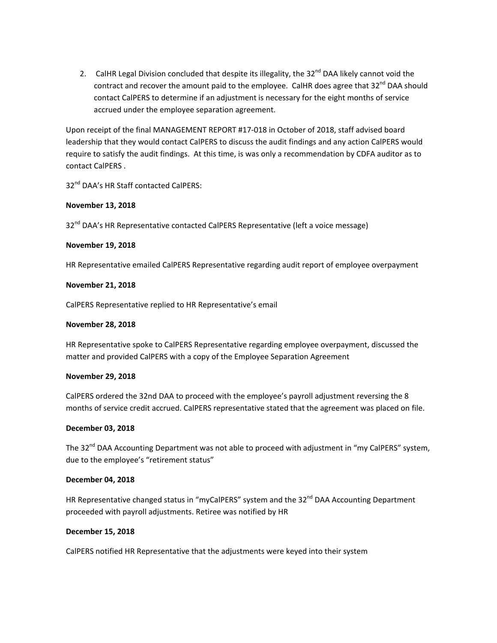2. CalHR Legal Division concluded that despite its illegality, the 32<sup>nd</sup> DAA likely cannot void the contract and recover the amount paid to the employee. CalHR does agree that 32<sup>nd</sup> DAA should contact CalPERS to determine if an adjustment is necessary for the eight months of service accrued under the employee separation agreement.

Upon receipt of the final MANAGEMENT REPORT #17‐018 in October of 2018, staff advised board leadership that they would contact CalPERS to discuss the audit findings and any action CalPERS would require to satisfy the audit findings. At this time, is was only a recommendation by CDFA auditor as to contact CalPERS .

32<sup>nd</sup> DAA's HR Staff contacted CalPERS:

# **November 13, 2018**

32<sup>nd</sup> DAA's HR Representative contacted CalPERS Representative (left a voice message)

## **November 19, 2018**

HR Representative emailed CalPERS Representative regarding audit report of employee overpayment

#### **November 21, 2018**

CalPERS Representative replied to HR Representative's email

#### **November 28, 2018**

HR Representative spoke to CalPERS Representative regarding employee overpayment, discussed the matter and provided CalPERS with a copy of the Employee Separation Agreement

#### **November 29, 2018**

CalPERS ordered the 32nd DAA to proceed with the employee's payroll adjustment reversing the 8 months of service credit accrued. CalPERS representative stated that the agreement was placed on file.

## **December 03, 2018**

The 32<sup>nd</sup> DAA Accounting Department was not able to proceed with adjustment in "my CalPERS" system, due to the employee's "retirement status"

## **December 04, 2018**

HR Representative changed status in "myCalPERS" system and the 32<sup>nd</sup> DAA Accounting Department proceeded with payroll adjustments. Retiree was notified by HR

## **December 15, 2018**

CalPERS notified HR Representative that the adjustments were keyed into their system